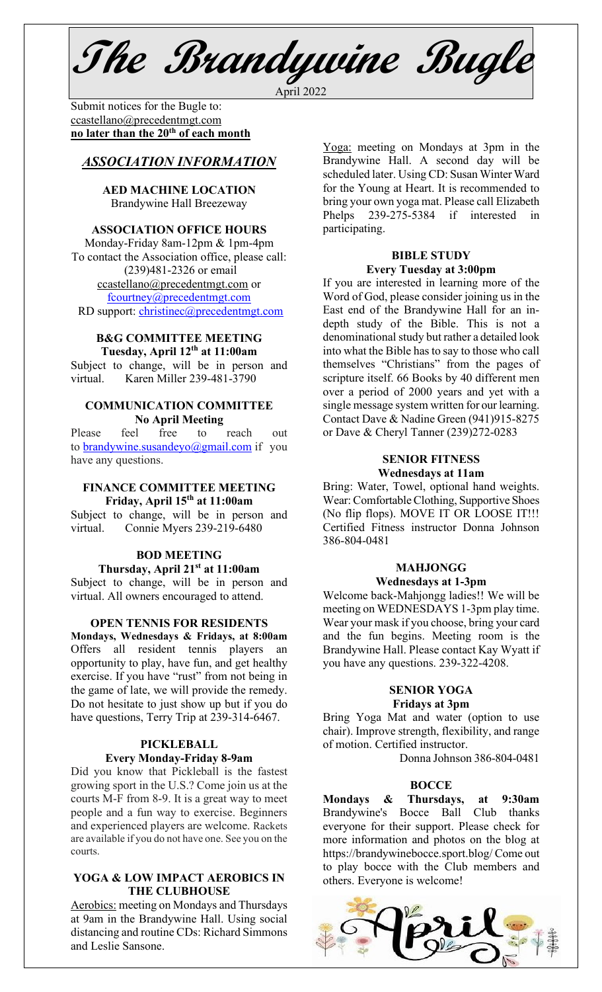**The Brandywine Bugle** April 2022

Submit notices for the Bugle to:[ccastellano@precedentmgt.com](mailto:johnandbethgrooms@gmail.com) **no later than the 20th of each month**

# *ASSOCIATION INFORMATION*

**AED MACHINE LOCATION**  Brandywine Hall Breezeway

# **ASSOCIATION OFFICE HOURS**

Monday-Friday 8am-12pm & 1pm-4pm To contact the Association office, please call: (239)481-2326 or email [ccastellano@precedentmgt.com](mailto:ccastellano@precedentmgt.com) or [fcourtney@precedentmgt.com](mailto:fcourtney@precedentmgt.com) RD support: [christinec@precedentmgt.com](mailto:christinec@precedentmgt.com)

#### **B&G COMMITTEE MEETING Tuesday, April 12th at 11:00am**

Subject to change, will be in person and virtual. Karen Miller 239-481-3790

### **COMMUNICATION COMMITTEE No April Meeting**

Please feel free to reach out to [brandywine.susandeyo@gmail.com](mailto:brandywine.susandeyo@gmail.com) if you have any questions.

### **FINANCE COMMITTEE MEETING Friday, April 15th at 11:00am**

Subject to change, will be in person and virtual. Connie Myers 239-219-6480

## **BOD MEETING Thursday, April 21st at 11:00am**

Subject to change, will be in person and virtual. All owners encouraged to attend.

### **OPEN TENNIS FOR RESIDENTS**

**Mondays, Wednesdays & Fridays, at 8:00am** Offers all resident tennis players an opportunity to play, have fun, and get healthy exercise. If you have "rust" from not being in the game of late, we will provide the remedy. Do not hesitate to just show up but if you do have questions, Terry Trip at 239-314-6467.

## **PICKLEBALL Every Monday-Friday 8-9am**

Did you know that Pickleball is the fastest growing sport in the U.S.? Come join us at the courts M-F from 8-9. It is a great way to meet people and a fun way to exercise. Beginners and experienced players are welcome. Rackets are available if you do not have one. See you on the courts.

### **YOGA & LOW IMPACT AEROBICS IN THE CLUBHOUSE**

Aerobics: meeting on Mondays and Thursdays at 9am in the Brandywine Hall. Using social distancing and routine CDs: Richard Simmons and Leslie Sansone.

Yoga: meeting on Mondays at 3pm in the Brandywine Hall. A second day will be scheduled later. Using CD: Susan Winter Ward for the Young at Heart. It is recommended to bring your own yoga mat. Please call Elizabeth Phelps 239-275-5384 if interested in participating.

#### **BIBLE STUDY Every Tuesday at 3:00pm**

If you are interested in learning more of the Word of God, please consider joining us in the East end of the Brandywine Hall for an indepth study of the Bible. This is not a denominational study but rather a detailed look into what the Bible has to say to those who call themselves "Christians" from the pages of scripture itself. 66 Books by 40 different men over a period of 2000 years and yet with a single message system written for our learning. Contact Dave & Nadine Green (941)915-8275 or Dave & Cheryl Tanner (239)272-0283

#### **SENIOR FITNESS Wednesdays at 11am**

Bring: Water, Towel, optional hand weights. Wear: Comfortable Clothing, Supportive Shoes (No flip flops). MOVE IT OR LOOSE IT!!! Certified Fitness instructor Donna Johnson 386-804-0481

#### **MAHJONGG Wednesdays at 1-3pm**

Welcome back-Mahjongg ladies!! We will be meeting on WEDNESDAYS 1-3pm play time. Wear your mask if you choose, bring your card and the fun begins. Meeting room is the Brandywine Hall. Please contact Kay Wyatt if you have any questions. 239-322-4208.

#### **SENIOR YOGA Fridays at 3pm**

Bring Yoga Mat and water (option to use chair). Improve strength, flexibility, and range of motion. Certified instructor.

Donna Johnson 386-804-0481

## **BOCCE**

**Mondays & Thursdays, at 9:30am** Brandywine's Bocce Ball Club thanks everyone for their support. Please check for more information and photos on the blog at https://brandywinebocce.sport.blog/ Come out to play bocce with the Club members and others. Everyone is welcome!

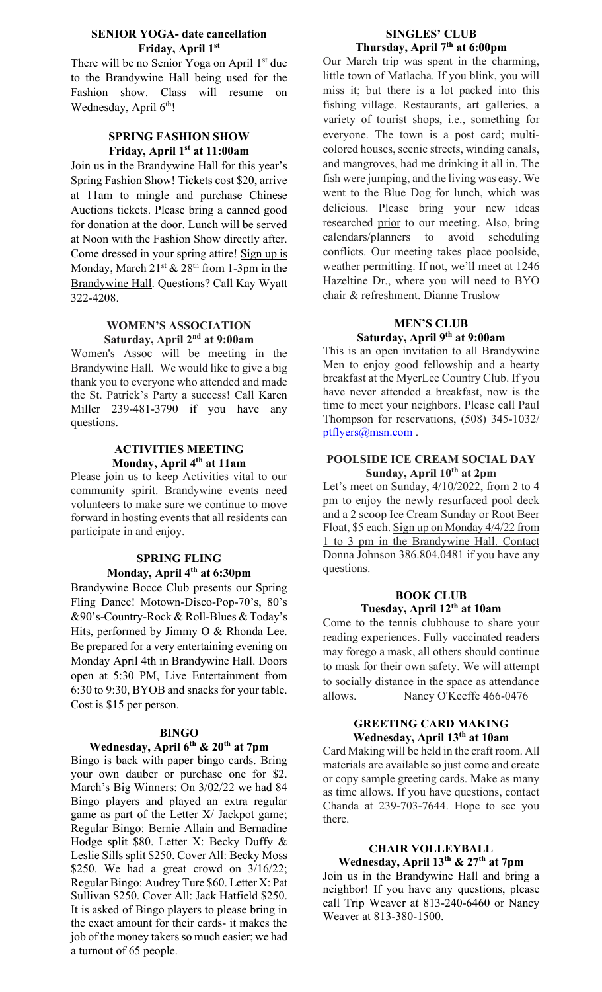## **SENIOR YOGA- date cancellation Friday, April 1st**

There will be no Senior Yoga on April 1<sup>st</sup> due to the Brandywine Hall being used for the Fashion show. Class will resume on Wednesday, April 6<sup>th</sup>!

# **SPRING FASHION SHOW Friday, April 1st at 11:00am**

Join us in the Brandywine Hall for this year's Spring Fashion Show! Tickets cost \$20, arrive at 11am to mingle and purchase Chinese Auctions tickets. Please bring a canned good for donation at the door. Lunch will be served at Noon with the Fashion Show directly after. Come dressed in your spring attire! Sign up is Monday, March  $21^{st}$  &  $28^{th}$  from 1-3pm in the Brandywine Hall. Questions? Call Kay Wyatt 322-4208.

# **WOMEN'S ASSOCIATION Saturday, April 2nd at 9:00am**

Women's Assoc will be meeting in the Brandywine Hall. We would like to give a big thank you to everyone who attended and made the St. Patrick's Party a success! Call Karen Miller 239-481-3790 if you have any questions.

## **ACTIVITIES MEETING Monday, April 4th at 11am**

Please join us to keep Activities vital to our community spirit. Brandywine events need volunteers to make sure we continue to move forward in hosting events that all residents can participate in and enjoy.

# **SPRING FLING Monday, April 4th at 6:30pm**

Brandywine Bocce Club presents our Spring Fling Dance! Motown-Disco-Pop-70's, 80's &90's-Country-Rock & Roll-Blues & Today's Hits, performed by Jimmy O & Rhonda Lee. Be prepared for a very entertaining evening on Monday April 4th in Brandywine Hall. Doors open at 5:30 PM, Live Entertainment from 6:30 to 9:30, BYOB and snacks for your table. Cost is \$15 per person.

## **BINGO**

# **Wednesday, April 6th & 20th at 7pm**

Bingo is back with paper bingo cards. Bring your own dauber or purchase one for \$2. March's Big Winners: On 3/02/22 we had 84 Bingo players and played an extra regular game as part of the Letter X/ Jackpot game; Regular Bingo: Bernie Allain and Bernadine Hodge split \$80. Letter X: Becky Duffy & Leslie Sills split \$250. Cover All: Becky Moss \$250. We had a great crowd on  $3/16/22$ ; Regular Bingo: Audrey Ture \$60. Letter X: Pat Sullivan \$250. Cover All: Jack Hatfield \$250. It is asked of Bingo players to please bring in the exact amount for their cards- it makes the job of the money takers so much easier; we had a turnout of 65 people.

# **SINGLES' CLUB Thursday, April 7th at 6:00pm**

Our March trip was spent in the charming, little town of Matlacha. If you blink, you will miss it; but there is a lot packed into this fishing village. Restaurants, art galleries, a variety of tourist shops, i.e., something for everyone. The town is a post card; multicolored houses, scenic streets, winding canals, and mangroves, had me drinking it all in. The fish were jumping, and the living was easy. We went to the Blue Dog for lunch, which was delicious. Please bring your new ideas researched prior to our meeting. Also, bring calendars/planners to avoid scheduling conflicts. Our meeting takes place poolside, weather permitting. If not, we'll meet at 1246 Hazeltine Dr., where you will need to BYO chair & refreshment. Dianne Truslow

# **MEN'S CLUB Saturday, April 9th at 9:00am**

This is an open invitation to all Brandywine Men to enjoy good fellowship and a hearty breakfast at the MyerLee Country Club. If you have never attended a breakfast, now is the time to meet your neighbors. Please call Paul Thompson for reservations, (508) 345-1032/ [ptflyers@msn.com](mailto:ptflyers@msn.com).

#### **POOLSIDE ICE CREAM SOCIAL DAY Sunday, April 10th at 2pm**

Let's meet on Sunday, 4/10/2022, from 2 to 4 pm to enjoy the newly resurfaced pool deck and a 2 scoop Ice Cream Sunday or Root Beer Float, \$5 each. Sign up on Monday 4/4/22 from 1 to 3 pm in the Brandywine Hall. Contact Donna Johnson 386.804.0481 if you have any questions.

# **BOOK CLUB Tuesday, April 12th at 10am**

Come to the tennis clubhouse to share your reading experiences. Fully vaccinated readers may forego a mask, all others should continue to mask for their own safety. We will attempt to socially distance in the space as attendance allows. Nancy O'Keeffe 466-0476

### **GREETING CARD MAKING Wednesday, April 13th at 10am**

Card Making will be held in the craft room. All materials are available so just come and create or copy sample greeting cards. Make as many as time allows. If you have questions, contact Chanda at 239-703-7644. Hope to see you there.

# **CHAIR VOLLEYBALL Wednesday, April 13th & 27th at 7pm**

Join us in the Brandywine Hall and bring a neighbor! If you have any questions, please call Trip Weaver at 813-240-6460 or Nancy Weaver at 813-380-1500.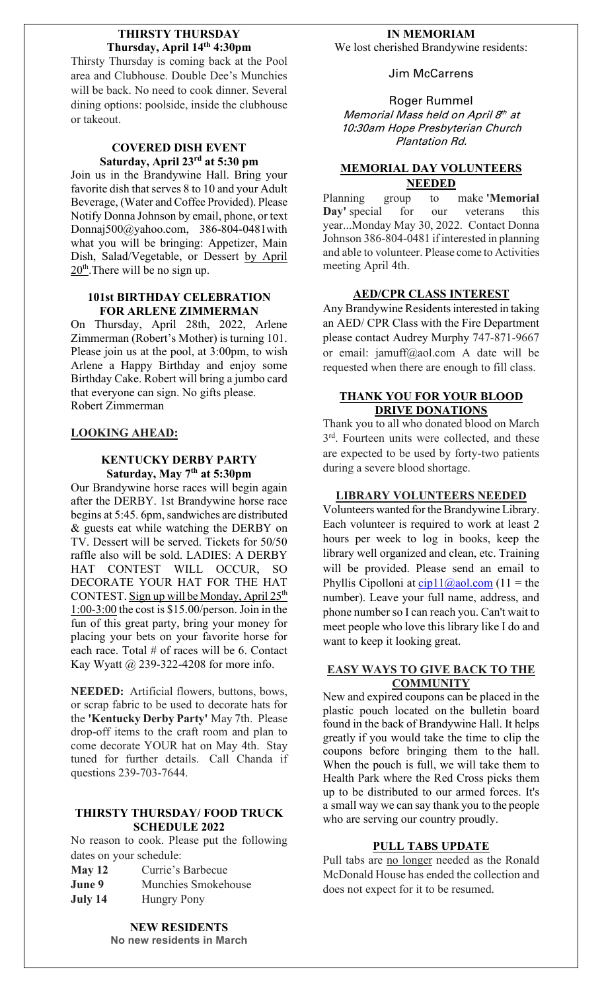### **THIRSTY THURSDAY Thursday, April 14th 4:30pm**

Thirsty Thursday is coming back at the Pool area and Clubhouse. Double Dee's Munchies will be back. No need to cook dinner. Several dining options: poolside, inside the clubhouse or takeout.

#### **COVERED DISH EVENT Saturday, April 23rd at 5:30 pm**

Join us in the Brandywine Hall. Bring your favorite dish that serves 8 to 10 and your Adult Beverage, (Water and Coffee Provided). Please Notify Donna Johnson by email, phone, or text Donnaj500@yahoo.com, 386-804-0481with what you will be bringing: Appetizer, Main Dish, Salad/Vegetable, or Dessert by April 20<sup>th</sup>. There will be no sign up.

## **101st BIRTHDAY CELEBRATION FOR ARLENE ZIMMERMAN**

On Thursday, April 28th, 2022, Arlene Zimmerman (Robert's Mother) is turning 101. Please join us at the pool, at 3:00pm, to wish Arlene a Happy Birthday and enjoy some Birthday Cake. Robert will bring a jumbo card that everyone can sign. No gifts please. Robert Zimmerman

# **LOOKING AHEAD:**

#### **KENTUCKY DERBY PARTY Saturday, May 7th at 5:30pm**

Our Brandywine horse races will begin again after the DERBY. 1st Brandywine horse race begins at 5:45. 6pm, sandwiches are distributed & guests eat while watching the DERBY on TV. Dessert will be served. Tickets for 50/50 raffle also will be sold. LADIES: A DERBY HAT CONTEST WILL OCCUR, SO DECORATE YOUR HAT FOR THE HAT CONTEST. Sign up will be Monday, April 25<sup>th</sup>  $1:00-3:00$  the cost is \$15.00/person. Join in the fun of this great party, bring your money for placing your bets on your favorite horse for each race. Total # of races will be 6. Contact Kay Wyatt @ 239-322-4208 for more info.

**NEEDED:** Artificial flowers, buttons, bows, or scrap fabric to be used to decorate hats for the **'Kentucky Derby Party'** May 7th. Please drop-off items to the craft room and plan to come decorate YOUR hat on May 4th. Stay tuned for further details. Call Chanda if questions 239-703-7644.

# **THIRSTY THURSDAY/ FOOD TRUCK SCHEDULE 2022**

No reason to cook. Please put the following dates on your schedule:

| May 12  | Currie's Barbecue   |
|---------|---------------------|
| June 9  | Munchies Smokehouse |
| July 14 | <b>Hungry Pony</b>  |

**NEW RESIDENTS No new residents in March**

# **IN MEMORIAM**

We lost cherished Brandywine residents:

Jim McCarrens

Roger Rummel Memorial Mass held on April 8<sup>th</sup> at 10:30am Hope Presbyterian Church Plantation Rd.

# **MEMORIAL DAY VOLUNTEERS NEEDED**

Planning group to make **'Memorial Day'** special for our veterans this year...Monday May 30, 2022. Contact Donna Johnson 386-804-0481 if interested in planning and able to volunteer. Please come to Activities meeting April 4th.

# **AED/CPR CLASS INTEREST**

Any Brandywine Residents interested in taking an AED/ CPR Class with the Fire Department please contact Audrey Murphy 747-871-9667 or email: jamuff@aol.com A date will be requested when there are enough to fill class.

# **THANK YOU FOR YOUR BLOOD DRIVE DONATIONS**

Thank you to all who donated blood on March 3<sup>rd</sup>. Fourteen units were collected, and these are expected to be used by forty-two patients during a severe blood shortage.

### **LIBRARY VOLUNTEERS NEEDED**

Volunteers wanted for the Brandywine Library. Each volunteer is required to work at least 2 hours per week to log in books, keep the library well organized and clean, etc. Training will be provided. Please send an email to Phyllis Cipolloni at  $cip11@a0l.com$  (11 = the number). Leave your full name, address, and phone number so I can reach you. Can't wait to meet people who love this library like I do and want to keep it looking great.

## **EASY WAYS TO GIVE BACK TO THE COMMUNITY**

New and expired coupons can be placed in the plastic pouch located on the bulletin board found in the back of Brandywine Hall. It helps greatly if you would take the time to clip the coupons before bringing them to the hall. When the pouch is full, we will take them to Health Park where the Red Cross picks them up to be distributed to our armed forces. It's a small way we can say thank you to the people who are serving our country proudly.

## **PULL TABS UPDATE**

Pull tabs are no longer needed as the Ronald McDonald House has ended the collection and does not expect for it to be resumed.